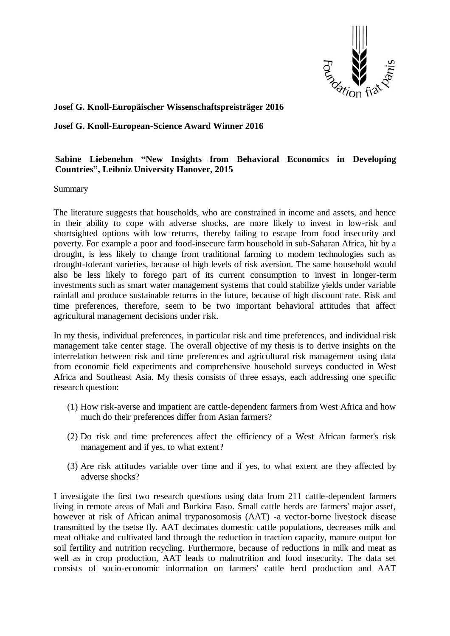

## **Josef G. Knoll-Europäischer Wissenschaftspreisträger 2016**

## **Josef G. Knoll-European-Science Award Winner 2016**

## **Sabine Liebenehm "New Insights from Behavioral Economics in Developing Countries", Leibniz University Hanover, 2015**

Summary

The literature suggests that households, who are constrained in income and assets, and hence in their ability to cope with adverse shocks, are more likely to invest in low-risk and shortsighted options with low returns, thereby failing to escape from food insecurity and poverty. For example a poor and food-insecure farm household in sub-Saharan Africa, hit by a drought, is less likely to change from traditional farming to modem technologies such as drought-tolerant varieties, because of high levels of risk aversion. The same household would also be less likely to forego part of its current consumption to invest in longer-term investments such as smart water management systems that could stabilize yields under variable rainfall and produce sustainable returns in the future, because of high discount rate. Risk and time preferences, therefore, seem to be two important behavioral attitudes that affect agricultural management decisions under risk.

In my thesis, individual preferences, in particular risk and time preferences, and individual risk management take center stage. The overall objective of my thesis is to derive insights on the interrelation between risk and time preferences and agricultural risk management using data from economic field experiments and comprehensive household surveys conducted in West Africa and Southeast Asia. My thesis consists of three essays, each addressing one specific research question:

- (1) How risk-averse and impatient are cattle-dependent farmers from West Africa and how much do their preferences differ from Asian farmers?
- (2) Do risk and time preferences affect the efficiency of a West African farmer's risk management and if yes, to what extent?
- (3) Are risk attitudes variable over time and if yes, to what extent are they affected by adverse shocks?

I investigate the first two research questions using data from 211 cattle-dependent farmers living in remote areas of Mali and Burkina Faso. Small cattle herds are farmers' major asset, however at risk of African animal trypanosomosis (AAT) -a vector-borne livestock disease transmitted by the tsetse fly. AAT decimates domestic cattle populations, decreases milk and meat offtake and cultivated land through the reduction in traction capacity, manure output for soil fertility and nutrition recycling. Furthermore, because of reductions in milk and meat as well as in crop production, AAT leads to malnutrition and food insecurity. The data set consists of socio-economic information on farmers' cattle herd production and AAT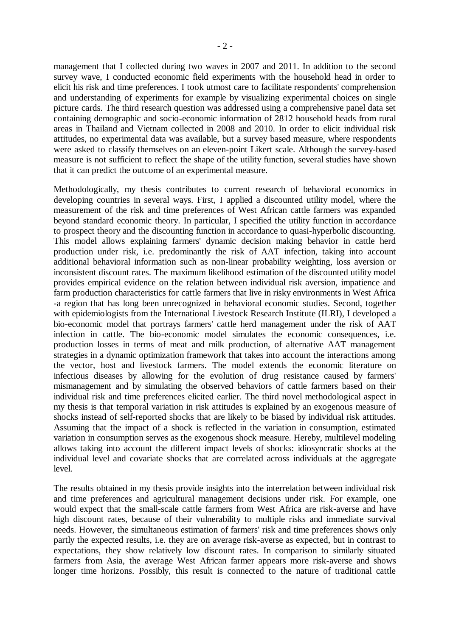- 2 -

management that I collected during two waves in 2007 and 2011. In addition to the second survey wave, I conducted economic field experiments with the household head in order to elicit his risk and time preferences. I took utmost care to facilitate respondents' comprehension and understanding of experiments for example by visualizing experimental choices on single picture cards. The third research question was addressed using a comprehensive panel data set containing demographic and socio-economic information of 2812 household heads from rural areas in Thailand and Vietnam collected in 2008 and 2010. In order to elicit individual risk attitudes, no experimental data was available, but a survey based measure, where respondents were asked to classify themselves on an eleven-point Likert scale. Although the survey-based measure is not sufficient to reflect the shape of the utility function, several studies have shown that it can predict the outcome of an experimental measure.

Methodologically, my thesis contributes to current research of behavioral economics in developing countries in several ways. First, I applied a discounted utility model, where the measurement of the risk and time preferences of West African cattle farmers was expanded beyond standard economic theory. In particular, I specified the utility function in accordance to prospect theory and the discounting function in accordance to quasi-hyperbolic discounting. This model allows explaining farmers' dynamic decision making behavior in cattle herd production under risk, i.e. predominantly the risk of AAT infection, taking into account additional behavioral information such as non-linear probability weighting, loss aversion or inconsistent discount rates. The maximum likelihood estimation of the discounted utility model provides empirical evidence on the relation between individual risk aversion, impatience and farm production characteristics for cattle farmers that live in risky environments in West Africa -a region that has long been unrecognized in behavioral economic studies. Second, together with epidemiologists from the International Livestock Research Institute (ILRI), I developed a bio-economic model that portrays farmers' cattle herd management under the risk of AAT infection in cattle. The bio-economic model simulates the economic consequences, i.e. production losses in terms of meat and milk production, of alternative AAT management strategies in a dynamic optimization framework that takes into account the interactions among the vector, host and livestock farmers. The model extends the economic literature on infectious diseases by allowing for the evolution of drug resistance caused by farmers' mismanagement and by simulating the observed behaviors of cattle farmers based on their individual risk and time preferences elicited earlier. The third novel methodological aspect in my thesis is that temporal variation in risk attitudes is explained by an exogenous measure of shocks instead of self-reported shocks that are likely to be biased by individual risk attitudes. Assuming that the impact of a shock is reflected in the variation in consumption, estimated variation in consumption serves as the exogenous shock measure. Hereby, multilevel modeling allows taking into account the different impact levels of shocks: idiosyncratic shocks at the individual level and covariate shocks that are correlated across individuals at the aggregate level.

The results obtained in my thesis provide insights into the interrelation between individual risk and time preferences and agricultural management decisions under risk. For example, one would expect that the small-scale cattle farmers from West Africa are risk-averse and have high discount rates, because of their vulnerability to multiple risks and immediate survival needs. However, the simultaneous estimation of farmers' risk and time preferences shows only partly the expected results, i.e. they are on average risk-averse as expected, but in contrast to expectations, they show relatively low discount rates. In comparison to similarly situated farmers from Asia, the average West African farmer appears more risk-averse and shows longer time horizons. Possibly, this result is connected to the nature of traditional cattle